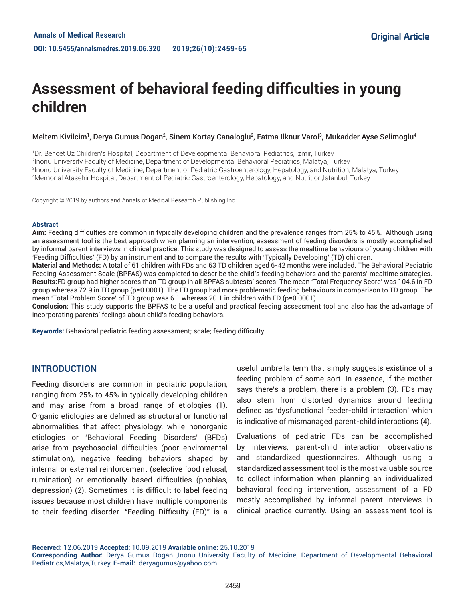# **Assessment of behavioral feeding difficulties in young children**

#### Meltem Kivilcim<sup>1</sup>, Derya Gumus Dogan<sup>2</sup>, Sinem Kortay Canaloglu<sup>2</sup>, Fatma Ilknur Varol<sup>3</sup>, Mukadder Ayse Selimoglu<sup>4</sup>

 Dr. Behcet Uz Children's Hospital, Department of Develeopmental Behavioral Pediatrics, Izmir, Turkey Inonu University Faculty of Medicine, Department of Developmental Behavioral Pediatrics, Malatya, Turkey Inonu University Faculty of Medicine, Department of Pediatric Gastroenterology, Hepatology, and Nutrition, Malatya, Turkey Memorial Atasehir Hospital, Department of Pediatric Gastroenterology, Hepatology, and Nutrition,Istanbul, Turkey

Copyright © 2019 by authors and Annals of Medical Research Publishing Inc.

#### **Abstract**

**Aim:** Feeding difficulties are common in typically developing children and the prevalence ranges from 25% to 45%. Although using an assessment tool is the best approach when planning an intervention, assessment of feeding disorders is mostly accomplished by informal parent interviews in clinical practice. This study was designed to assess the mealtime behaviours of young children with 'Feeding Difficulties' (FD) by an instrument and to compare the results with 'Typically Developing' (TD) children.

**Material and Methods:** A total of 61 children with FDs and 63 TD children aged 6-42 months were included. The Behavioral Pediatric Feeding Assessment Scale (BPFAS) was completed to describe the child's feeding behaviors and the parents' mealtime strategies. **Results:**FD group had higher scores than TD group in all BPFAS subtests' scores. The mean 'Total Frequency Score' was 104.6 in FD group whereas 72.9 in TD group (p=0.0001). The FD group had more problematic feeding behaviours in comparison to TD group. The mean 'Total Problem Score' of TD group was 6.1 whereas 20.1 in children with FD (p=0.0001).

**Conclusion:** This study supports the BPFAS to be a useful and practical feeding assessment tool and also has the advantage of incorporating parents' feelings about child's feeding behaviors.

**Keywords:** Behavioral pediatric feeding assessment; scale; feeding difficulty.

## **INTRODUCTION**

Feeding disorders are common in pediatric population, ranging from 25% to 45% in typically developing children and may arise from a broad range of etiologies (1). Organic etiologies are defined as structural or functional abnormalities that affect physiology, while nonorganic etiologies or 'Behavioral Feeding Disorders' (BFDs) arise from psychosocial difficulties (poor enviromental stimulation), negative feeding behaviors shaped by internal or external reinforcement (selective food refusal, rumination) or emotionally based difficulties (phobias, depression) (2). Sometimes it is difficult to label feeding issues because most children have multiple components to their feeding disorder. "Feeding Difficulty (FD)" is a

useful umbrella term that simply suggests existince of a feeding problem of some sort. In essence, if the mother says there's a problem, there is a problem (3). FDs may also stem from distorted dynamics around feeding defined as 'dysfunctional feeder-child interaction' which is indicative of mismanaged parent-child interactions (4).

Evaluations of pediatric FDs can be accomplished by interviews, parent-child interaction observations and standardized questionnaires. Although using a standardized assessment tool is the most valuable source to collect information when planning an individualized behavioral feeding intervention, assessment of a FD mostly accomplished by informal parent interviews in clinical practice currently. Using an assessment tool is

**Received: 1**2.06.2019 **Accepted:** 10.09.2019 **Available online:** 25.10.2019

**Corresponding Author:** Derya Gumus Dogan ,Inonu University Faculty of Medicine, Department of Developmental Behavioral Pediatrics,Malatya,Turkey, **E-mail:** deryagumus@yahoo.com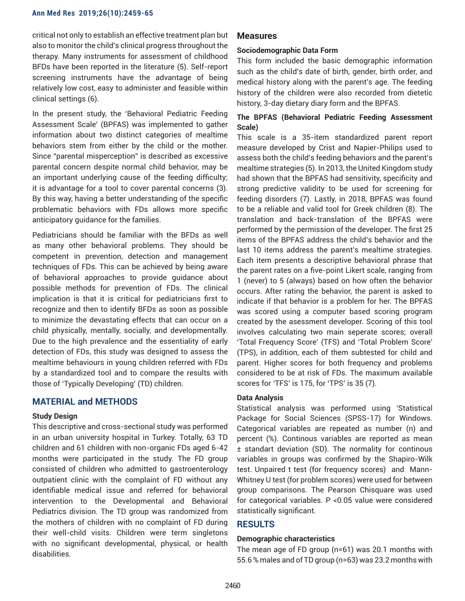critical not only to establish an effective treatment plan but also to monitor the child's clinical progress throughout the therapy. Many instruments for assessment of childhood BFDs have been reported in the literature (5). Self-report screening instruments have the advantage of being relatively low cost, easy to administer and feasible within clinical settings (6).

In the present study, the 'Behavioral Pediatric Feeding Assessment Scale' (BPFAS) was implemented to gather information about two distinct categories of mealtime behaviors stem from either by the child or the mother. Since "parental misperception" is described as excessive parental concern despite normal child behavior, may be an important underlying cause of the feeding difficulty; it is advantage for a tool to cover parental concerns (3). By this way, having a better understanding of the specific problematic behaviors with FDs allows more specific anticipatory guidance for the families.

Pediatricians should be familiar with the BFDs as well as many other behavioral problems. They should be competent in prevention, detection and management techniques of FDs. This can be achieved by being aware of behavioral approaches to provide guidance about possible methods for prevention of FDs. The clinical implication is that it is critical for pediatricians first to recognize and then to identify BFDs as soon as possible to minimize the devastating effects that can occur on a child physically, mentally, socially, and developmentally. Due to the high prevalence and the essentiality of early detection of FDs, this study was designed to assess the mealtime behaviours in young children referred with FDs by a standardized tool and to compare the results with those of 'Typically Developing' (TD) children.

## **MATERIAL and METHODS**

#### **Study Design**

This descriptive and cross-sectional study was performed in an urban university hospital in Turkey. Totally, 63 TD children and 61 children with non-organic FDs aged 6-42 months were participated in the study. The FD group consisted of children who admitted to gastroenterology outpatient clinic with the complaint of FD without any identifiable medical issue and referred for behavioral intervention to the Developmental and Behavioral Pediatrics division. The TD group was randomized from the mothers of children with no complaint of FD during their well-child visits. Children were term singletons with no significant developmental, physical, or health disabilities.

#### **Measures**

#### **Sociodemographic Data Form**

This form included the basic demographic information such as the child's date of birth, gender, birth order, and medical history along with the parent's age. The feeding history of the children were also recorded from dietetic history, 3-day dietary diary form and the BPFAS.

# **The BPFAS (Behavioral Pediatric Feeding Assessment Scale)**

This scale is a 35-item standardized parent report measure developed by Crist and Napier-Philips used to assess both the child's feeding behaviors and the parent's mealtime strategies (5). In 2013, the United Kingdom study had shown that the BPFAS had sensitivity, specificity and strong predictive validity to be used for screening for feeding disorders (7). Lastly, in 2018, BPFAS was found to be a reliable and valid tool for Greek children (8). The translation and back-translation of the BPFAS were performed by the permission of the developer. The first 25 items of the BPFAS address the child's behavior and the last 10 items address the parent's mealtime strategies. Each item presents a descriptive behavioral phrase that the parent rates on a five-point Likert scale, ranging from 1 (never) to 5 (always) based on how often the behavior occurs. After rating the behavior, the parent is asked to indicate if that behavior is a problem for her. The BPFAS was scored using a computer based scoring program created by the asessment developer. Scoring of this tool involves calculating two main seperate scores; overall 'Total Frequency Score' (TFS) and 'Total Problem Score' (TPS), in addition, each of them subtested for child and parent. Higher scores for both frequency and problems considered to be at risk of FDs. The maximum available scores for 'TFS' is 175, for 'TPS' is 35 (7).

#### **Data Analysis**

Statistical analysis was performed using 'Statistical Package for Social Sciences (SPSS-17) for Windows. Categorical variables are repeated as number (n) and percent (%). Continous variables are reported as mean ± standart deviation (SD). The normality for continous variables in groups was confirmed by the Shapiro-Wilk test. Unpaired t test (for frequency scores) and Mann-Whitney U test (for problem scores) were used for between group comparisons. The Pearson Chisquare was used for categorical variables. P <0.05 value were considered statistically significant.

# **RESULTS**

#### **Demographic characteristics**

The mean age of FD group (n=61) was 20.1 months with 55.6 % males and of TD group (n=63) was 23.2 months with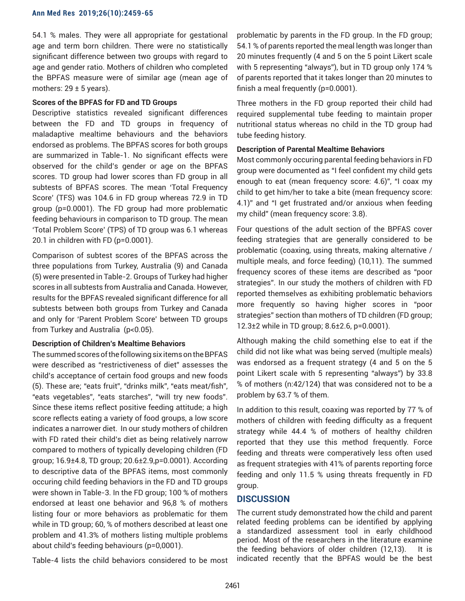54.1 % males. They were all appropriate for gestational age and term born children. There were no statistically significant difference between two groups with regard to age and gender ratio. Mothers of children who completed the BPFAS measure were of similar age (mean age of mothers:  $29 \pm 5$  years).

#### **Scores of the BPFAS for FD and TD Groups**

Descriptive statistics revealed significant differences between the FD and TD groups in frequency of maladaptive mealtime behaviours and the behaviors endorsed as problems. The BPFAS scores for both groups are summarized in Table-1. No significant effects were observed for the child's gender or age on the BPFAS scores. TD group had lower scores than FD group in all subtests of BPFAS scores. The mean 'Total Frequency Score' (TFS) was 104.6 in FD group whereas 72.9 in TD group (p=0.0001). The FD group had more problematic feeding behaviours in comparison to TD group. The mean 'Total Problem Score' (TPS) of TD group was 6.1 whereas 20.1 in children with FD (p=0.0001).

Comparison of subtest scores of the BPFAS across the three populations from Turkey, Australia (9) and Canada (5) were presented in Table-2. Groups of Turkey had higher scores in all subtests from Australia and Canada. However, results for the BPFAS revealed significant difference for all subtests between both groups from Turkey and Canada and only for 'Parent Problem Score' between TD groups from Turkey and Australia (p<0.05).

## **Description of Children's Mealtime Behaviors**

The summed scores of the following six items on the BPFAS were described as "restrictiveness of diet" assesses the child's acceptance of certain food groups and new foods (5). These are; "eats fruit", "drinks milk", "eats meat/fish", "eats vegetables", "eats starches", "will try new foods". Since these items reflect positive feeding attitude; a high score reflects eating a variety of food groups, a low score indicates a narrower diet. In our study mothers of children with FD rated their child's diet as being relatively narrow compared to mothers of typically developing children (FD group; 16.9±4.8, TD group; 20.6±2.9,p=0.0001). According to descriptive data of the BPFAS items, most commonly occuring child feeding behaviors in the FD and TD groups were shown in Table-3. In the FD group; 100 % of mothers endorsed at least one behavior and 96,8 % of mothers listing four or more behaviors as problematic for them while in TD group; 60, % of mothers described at least one problem and 41.3% of mothers listing multiple problems about child's feeding behaviours (p=0,0001).

Table-4 lists the child behaviors considered to be most

problematic by parents in the FD group. In the FD group; 54.1 % of parents reported the meal length was longer than 20 minutes frequently (4 and 5 on the 5 point Likert scale with 5 representing "always"), but in TD group only 174 % of parents reported that it takes longer than 20 minutes to finish a meal frequently (p=0.0001).

Three mothers in the FD group reported their child had required supplemental tube feeding to maintain proper nutritional status whereas no child in the TD group had tube feeding history.

# **Description of Parental Mealtime Behaviors**

Most commonly occuring parental feeding behaviors in FD group were documented as "I feel confident my child gets enough to eat (mean frequency score: 4.6)", "I coax my child to get him/her to take a bite (mean frequency score: 4.1)" and "I get frustrated and/or anxious when feeding my child" (mean frequency score: 3.8).

Four questions of the adult section of the BPFAS cover feeding strategies that are generally considered to be problematic (coaxing, using threats, making alternative / multiple meals, and force feeding) (10,11). The summed frequency scores of these items are described as "poor strategies". In our study the mothers of children with FD reported themselves as exhibiting problematic behaviors more frequently so having higher scores in "poor strategies" section than mothers of TD children (FD group; 12.3±2 while in TD group; 8.6±2.6, p=0.0001).

Although making the child something else to eat if the child did not like what was being served (multiple meals) was endorsed as a frequent strategy (4 and 5 on the 5 point Likert scale with 5 representing "always") by 33.8 % of mothers (n:42/124) that was considered not to be a problem by 63.7 % of them.

In addition to this result, coaxing was reported by 77 % of mothers of children with feeding difficulty as a frequent strategy while 44.4 % of mothers of healthy children reported that they use this method frequently. Force feeding and threats were comperatively less often used as frequent strategies with 41% of parents reporting force feeding and only 11.5 % using threats frequently in FD group.

# **DISCUSSION**

The current study demonstrated how the child and parent related feeding problems can be identified by applying a standardized assessment tool in early childhood period. Most of the researchers in the literature examine the feeding behaviors of older children (12,13). It is indicated recently that the BPFAS would be the best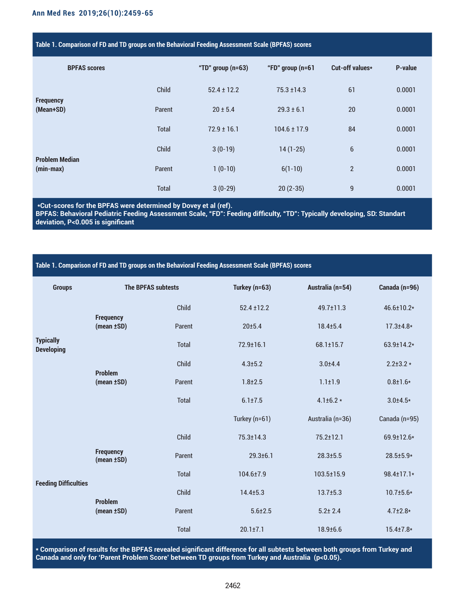|  | Table 1. Comparison of FD and TD groups on the Behavioral Feeding Assessment Scale (BPFAS) scores |
|--|---------------------------------------------------------------------------------------------------|
|  |                                                                                                   |

| <b>BPFAS scores</b>                  |              | "TD" group (n=63) | "FD" group (n=61 | Cut-off values* | P-value |
|--------------------------------------|--------------|-------------------|------------------|-----------------|---------|
| <b>Frequency</b><br>(Mean+SD)        | Child        | $52.4 \pm 12.2$   | $75.3 \pm 14.3$  | 61              | 0.0001  |
|                                      | Parent       | $20 \pm 5.4$      | $29.3 \pm 6.1$   | 20              | 0.0001  |
|                                      | Total        | $72.9 \pm 16.1$   | $104.6 \pm 17.9$ | 84              | 0.0001  |
| <b>Problem Median</b><br>$(min-max)$ | Child        | $3(0-19)$         | $14(1-25)$       | $6\phantom{1}6$ | 0.0001  |
|                                      | Parent       | $1(0-10)$         | $6(1-10)$        | $\overline{2}$  | 0.0001  |
|                                      | <b>Total</b> | $3(0-29)$         | $20(2-35)$       | 9               | 0.0001  |

 **\*Cut-scores for the BPFAS were determined by Dovey et al (ref).**

**BPFAS: Behavioral Pediatric Feeding Assessment Scale, "FD": Feeding difficulty, "TD": Typically developing, SD: Standart deviation, P<0.005 is significant**

| <b>Groups</b>                         |                                     | <b>The BPFAS subtests</b> | Turkey (n=63)   | Australia (n=54) | Canada (n=96)    |
|---------------------------------------|-------------------------------------|---------------------------|-----------------|------------------|------------------|
| <b>Typically</b><br><b>Developing</b> | <b>Frequency</b><br>(mean ±SD)      | Child                     | $52.4 \pm 12.2$ | 49.7±11.3        | 46.6±10.2*       |
|                                       |                                     | Parent                    | 20±5.4          | $18.4 \pm 5.4$   | $17.3 \pm 4.8*$  |
|                                       | <b>Problem</b><br>(mean ±SD)        | <b>Total</b>              | 72.9±16.1       | $68.1 \pm 15.7$  | $63.9 \pm 14.2*$ |
|                                       |                                     | Child                     | $4.3 \pm 5.2$   | $3.0 + 4.4$      | $2.2 \pm 3.2$ *  |
|                                       |                                     | Parent                    | $1.8 + 2.5$     | $1.1 \pm 1.9$    | $0.8 + 1.6*$     |
|                                       |                                     | <b>Total</b>              | $6.1 \pm 7.5$   | $4.1 \pm 6.2$ *  | $3.0 + 4.5*$     |
|                                       |                                     |                           | Turkey (n=61)   | Australia (n=36) | Canada (n=95)    |
| <b>Feeding Difficulties</b>           | <b>Frequency</b><br>$(mean \pm SD)$ | Child                     | 75.3±14.3       | $75.2 \pm 12.1$  | 69.9±12.6*       |
|                                       |                                     | Parent                    | $29.3 \pm 6.1$  | $28.3 \pm 5.5$   | 28.5±5.9*        |
|                                       |                                     | <b>Total</b>              | $104.6 \pm 7.9$ | 103.5±15.9       | 98.4±17.1*       |
|                                       | <b>Problem</b><br>(mean ±SD)        | Child                     | $14.4 \pm 5.3$  | $13.7 \pm 5.3$   | $10.7 \pm 5.6*$  |
|                                       |                                     | Parent                    | $5.6 \pm 2.5$   | $5.2 \pm 2.4$    | $4.7 \pm 2.8*$   |
|                                       |                                     | <b>Total</b>              | $20.1 \pm 7.1$  | 18.9±6.6         | $15.4{\pm}7.8*$  |

**\* Comparison of results for the BPFAS revealed significant difference for all subtests between both groups from Turkey and Canada and only for 'Parent Problem Score' between TD groups from Turkey and Australia (p<0.05).**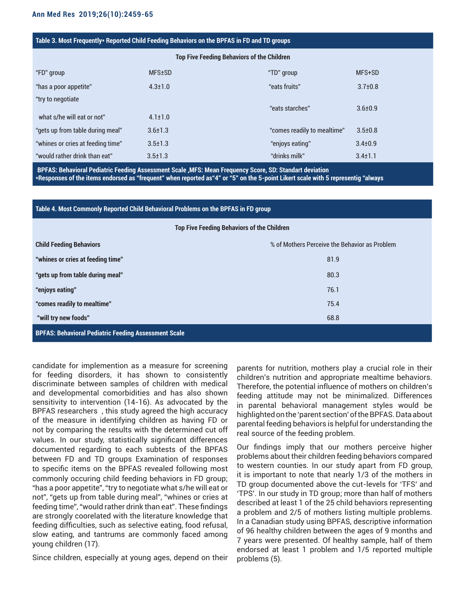| Table 3. Most Frequently* Reported Child Feeding Behaviors on the BPFAS in FD and TD groups |               |                             |               |
|---------------------------------------------------------------------------------------------|---------------|-----------------------------|---------------|
| <b>Top Five Feeding Behaviors of the Children</b>                                           |               |                             |               |
| "FD" group                                                                                  | <b>MFS±SD</b> | "TD" group                  | MFS+SD        |
| "has a poor appetite"                                                                       | $4.3 \pm 1.0$ | "eats fruits"               | $3.7 \pm 0.8$ |
| "try to negotiate                                                                           |               | "eats starches"             | $3.6 \pm 0.9$ |
| what s/he will eat or not"                                                                  | $4.1 \pm 1.0$ |                             |               |
| "gets up from table during meal"                                                            | $3.6 \pm 1.3$ | "comes readily to mealtime" | $3.5 \pm 0.8$ |
| "whines or cries at feeding time"                                                           | $3.5 \pm 1.3$ | "enjoys eating"             | $3.4 \pm 0.9$ |
| "would rather drink than eat"                                                               | $3.5 \pm 1.3$ | "drinks milk"               | $3.4 \pm 1.1$ |

**BPFAS: Behavioral Pediatric Feeding Assessment Scale ,MFS: Mean Frequency Score, SD: Standart deviation \*Responses of the items endorsed as "frequent" when reported as"4" or "5" on the 5-point Likert scale with 5 representig "always**

| Table 4. Most Commonly Reported Child Behavioral Problems on the BPFAS in FD group |                                               |  |  |
|------------------------------------------------------------------------------------|-----------------------------------------------|--|--|
| <b>Top Five Feeding Behaviors of the Children</b>                                  |                                               |  |  |
| <b>Child Feeding Behaviors</b>                                                     | % of Mothers Perceive the Behavior as Problem |  |  |
| "whines or cries at feeding time"                                                  | 81.9                                          |  |  |
| "gets up from table during meal"                                                   | 80.3                                          |  |  |
| "enjoys eating"                                                                    | 76.1                                          |  |  |
| "comes readily to mealtime"                                                        | 75.4                                          |  |  |
| "will try new foods"                                                               | 68.8                                          |  |  |
| <b>BPFAS: Behavioral Pediatric Feeding Assessment Scale</b>                        |                                               |  |  |

candidate for implemention as a measure for screening for feeding disorders, it has shown to consistently discriminate between samples of children with medical and developmental comorbidities and has also shown sensitivity to intervention (14-16). As advocated by the BPFAS researchers , this study agreed the high accuracy of the measure in identifying children as having FD or not by comparing the results with the determined cut off values. In our study, statistically significant differences documented regarding to each subtests of the BPFAS between FD and TD groups Examination of responses to specific items on the BPFAS revealed following most commonly occuring child feeding behaviors in FD group; "has a poor appetite", "try to negotiate what s/he will eat or not", "gets up from table during meal", "whines or cries at feeding time", "would rather drink than eat". These findings are strongly coorelated with the literature knowledge that feeding difficulties, such as selective eating, food refusal, slow eating, and tantrums are commonly faced among young children (17).

Since children, especially at young ages, depend on their

parents for nutrition, mothers play a crucial role in their children's nutrition and appropriate mealtime behaviors. Therefore, the potential influence of mothers on children's feeding attitude may not be minimalized. Differences in parental behavioral management styles would be highlighted on the 'parent section' of the BPFAS. Data about parental feeding behaviors is helpful for understanding the real source of the feeding problem.

Our findings imply that our mothers perceive higher problems about their children feeding behaviors compared to western counties. In our study apart from FD group, it is important to note that nearly 1/3 of the mothers in TD group documented above the cut-levels for 'TFS' and 'TPS'. In our study in TD group; more than half of mothers described at least 1 of the 25 child behaviors representing a problem and 2/5 of mothers listing multiple problems. In a Canadian study using BPFAS, descriptive information of 96 healthy children between the ages of 9 months and 7 years were presented. Of healthy sample, half of them endorsed at least 1 problem and 1/5 reported multiple problems (5).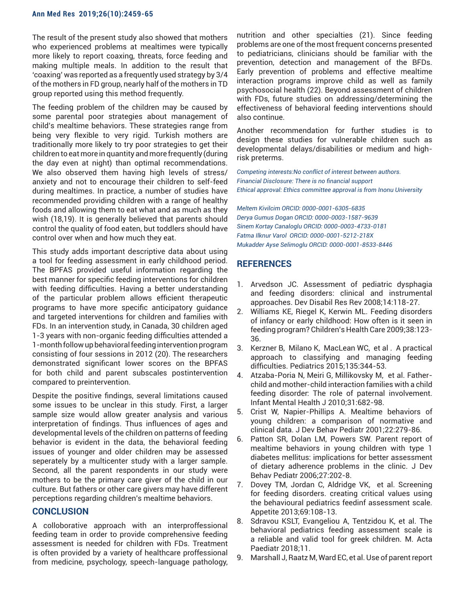The result of the present study also showed that mothers who experienced problems at mealtimes were typically more likely to report coaxing, threats, force feeding and making multiple meals. In addition to the result that 'coaxing' was reported as a frequently used strategy by 3/4 of the mothers in FD group, nearly half of the mothers in TD group reported using this method frequently.

The feeding problem of the children may be caused by some parental poor strategies about management of child's mealtime behaviors. These strategies range from being very flexible to very rigid. Turkish mothers are traditionally more likely to try poor strategies to get their children to eat more in quantity and more frequently (during the day even at night) than optimal recommendations. We also observed them having high levels of stress/ anxiety and not to encourage their children to self-feed during mealtimes. In practice, a number of studies have recommended providing children with a range of healthy foods and allowing them to eat what and as much as they wish (18,19). It is generally believed that parents should control the quality of food eaten, but toddlers should have control over when and how much they eat.

This study adds important descriptive data about using a tool for feeding assessment in early childhood period. The BPFAS provided useful information regarding the best manner for specific feeding interventions for children with feeding difficulties. Having a better understanding of the particular problem allows efficient therapeutic programs to have more specific anticipatory guidance and targeted interventions for children and families with FDs. In an intervention study, in Canada, 30 children aged 1-3 years with non-organic feeding difficulties attended a 1-month follow up behavioral feeding intervention program consisting of four sessions in 2012 (20). The researchers demonstrated significant lower scores on the BPFAS for both child and parent subscales postintervention compared to preintervention.

Despite the positive findings, several limitations caused some issues to be unclear in this study. First, a larger sample size would allow greater analysis and various interpretation of findings. Thus influences of ages and developmental levels of the children on patterns of feeding behavior is evident in the data, the behavioral feeding issues of younger and older children may be assessed seperately by a multicenter study with a larger sample. Second, all the parent respondents in our study were mothers to be the primary care giver of the child in our culture. But fathers or other care givers may have different perceptions regarding children's mealtime behaviors.

# **CONCLUSION**

A colloborative approach with an interproffessional feeding team in order to provide comprehensive feeding assessment is needed for children with FDs. Treatment is often provided by a variety of healthcare proffessional from medicine, psychology, speech-language pathology,

nutrition and other specialties (21). Since feeding problems are one of the most frequent concerns presented to pediatricians, clinicians should be familiar with the prevention, detection and management of the BFDs. Early prevention of problems and effective mealtime interaction programs improve child as well as family psychosocial health (22). Beyond assessment of children with FDs, future studies on addressing/determining the effectiveness of behavioral feeding interventions should also continue.

Another recommendation for further studies is to design these studies for vulnerable children such as developmental delays/disabilities or medium and highrisk preterms.

*Competing interests:No conflict of interest between authors. Financial Disclosure: There is no financial support Ethical approval: Ethics committee approval is from Inonu University*

*Meltem Kivilcim ORCID: 0000-0001-6305-6835 Derya Gumus Dogan ORCID: 0000-0003-1587-9639 Sinem Kortay Canaloglu ORCID: 0000-0003-4733-0181 Fatma Ilknur Varol ORCID: 0000-0001-5212-218X Mukadder Ayse Selimoglu ORCID: 0000-0001-8533-8446*

# **REFERENCES**

- 1. Arvedson JC. Assessment of pediatric dysphagia and feeding disorders: clinical and instrumental approaches. Dev Disabil Res Rev 2008;14:118-27.
- 2. Williams KE, Riegel K, Kerwin ML. Feeding disorders of infancy or early childhood: How often is it seen in feeding program? Children's Health Care 2009;38:123- 36.
- 3. Kerzner B, Milano K, MacLean WC, et al . A practical approach to classifying and managing feeding difficulties. Pediatrics 2015;135:344-53.
- 4. Atzaba-Poria N, Meiri G, Millikovsky M, et al. Fatherchild and mother-child interaction families with a child feeding disorder: The role of paternal involvement. Infant Mental Health J 2010;31:682-98.
- 5. Crist W, Napier-Phillips A. Mealtime behaviors of young children: a comparison of normative and clinical data. J Dev Behav Pediatr 2001;22:279-86.
- 6. Patton SR, Dolan LM, Powers SW. Parent report of mealtime behaviors in young children with type 1 diabetes mellitus: implications for better assessment of dietary adherence problems in the clinic. J Dev Behav Pediatr 2006;27:202-8.
- 7. Dovey TM, Jordan C, Aldridge VK, et al. Screening for feeding disorders. creating critical values using the behavioural pediatrics feedinf assessment scale. Appetite 2013;69:108-13.
- 8. Sdravou KSLT, Evangeliou A, Tentzidou K, et al. The behavioral pediatrics feeding assessment scale is a reliable and valid tool for greek children. M. Acta Paediatr 2018;11.
- 9. Marshall J, Raatz M, Ward EC, et al. Use of parent report